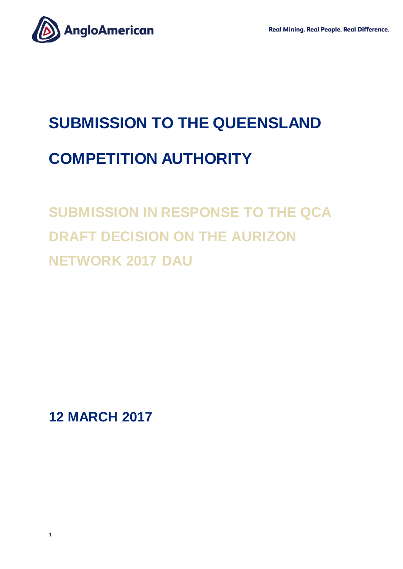

# **SUBMISSION TO THE QUEENSLAND COMPETITION AUTHORITY**

## **SUBMISSION IN RESPONSE TO THE QCA DRAFT DECISION ON THE AURIZON NETWORK 2017 DAU**

**12 MARCH 2017**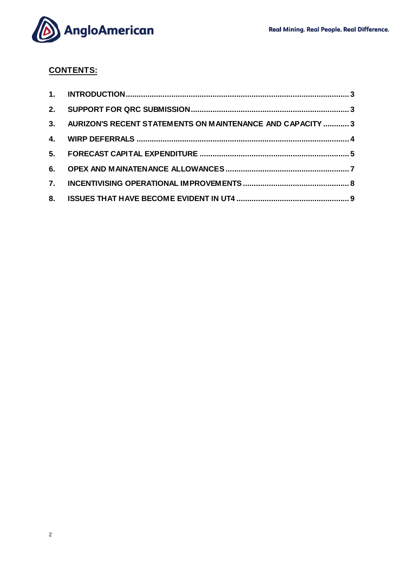

### **CONTENTS:**

| 3. AURIZON'S RECENT STATEMENTS ON MAINTENANCE AND CAPACITY  3 |  |
|---------------------------------------------------------------|--|
|                                                               |  |
|                                                               |  |
|                                                               |  |
|                                                               |  |
|                                                               |  |
|                                                               |  |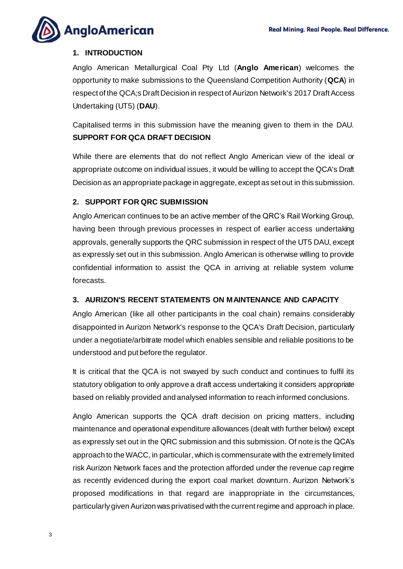

#### <span id="page-2-0"></span>**1. INTRODUCTION**

Anglo American Metallurgical Coal Pty Ltd (**Anglo American**) welcomes the opportunity to make submissions to the Queensland Competition Authority (**QCA**) in respect of the QCA;s Draft Decision in respect of Aurizon Network's 2017 Draft Access Undertaking (UT5) (**DAU**).

Capitalised terms in this submission have the meaning given to them in the DAU. **SUPPORT FOR QCA DRAFT DECISION** 

While there are elements that do not reflect Anglo American view of the ideal or appropriate outcome on individual issues, it would be willing to accept the QCA's Draft Decision as an appropriate package in aggregate, except as set out in this submission.

#### <span id="page-2-1"></span>**2. SUPPORT FOR QRC SUBMISSION**

Anglo American continues to be an active member of the QRC's Rail Working Group, having been through previous processes in respect of earlier access undertaking approvals, generally supports the QRC submission in respect of the UT5 DAU, except as expressly set out in this submission. Anglo American is otherwise willing to provide confidential information to assist the QCA in arriving at reliable system volume forecasts.

#### <span id="page-2-2"></span>**3. AURIZON'S RECENT STATEMENTS ON MAINTENANCE AND CAPACITY**

Anglo American (like all other participants in the coal chain) remains considerably disappointed in Aurizon Network's response to the QCA's Draft Decision, particularly under a negotiate/arbitrate model which enables sensible and reliable positions to be understood and put before the regulator.

It is critical that the QCA is not swayed by such conduct and continues to fulfil its statutory obligation to only approve a draft access undertaking it considers appropriate based on reliably provided and analysed information to reach informed conclusions.

Anglo American supports the QCA draft decision on pricing matters, including maintenance and operational expenditure allowances (dealt with further below) except as expressly set out in the QRC submission and this submission. Of note is the QCA's approach to the WACC, in particular, which is commensurate with the extremely limited risk Aurizon Network faces and the protection afforded under the revenue cap regime as recently evidenced during the export coal market downturn. Aurizon Network's proposed modifications in that regard are inappropriate in the circumstances, particularly given Aurizon was privatised with the current regime and approach in place.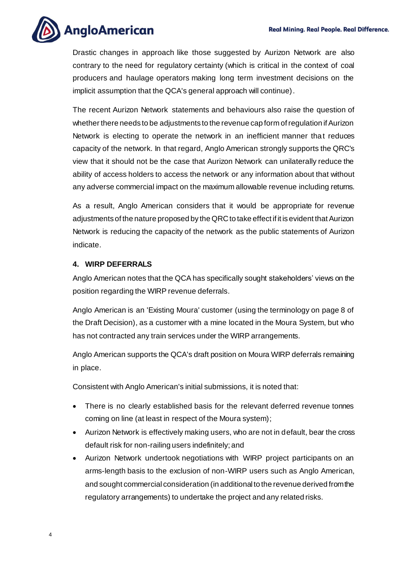

Drastic changes in approach like those suggested by Aurizon Network are also contrary to the need for regulatory certainty (which is critical in the context of coal producers and haulage operators making long term investment decisions on the implicit assumption that the QCA's general approach will continue).

The recent Aurizon Network statements and behaviours also raise the question of whether there needs to be adjustments to the revenue cap form of regulation if Aurizon Network is electing to operate the network in an inefficient manner that reduces capacity of the network. In that regard, Anglo American strongly supports the QRC's view that it should not be the case that Aurizon Network can unilaterally reduce the ability of access holders to access the network or any information about that without any adverse commercial impact on the maximum allowable revenue including returns.

As a result, Anglo American considers that it would be appropriate for revenue adjustments of the nature proposed by the QRC to take effect if it is evident that Aurizon Network is reducing the capacity of the network as the public statements of Aurizon indicate.

#### <span id="page-3-0"></span>**4. WIRP DEFERRALS**

Anglo American notes that the QCA has specifically sought stakeholders' views on the position regarding the WIRP revenue deferrals.

Anglo American is an 'Existing Moura' customer (using the terminology on page 8 of the Draft Decision), as a customer with a mine located in the Moura System, but who has not contracted any train services under the WIRP arrangements.

Anglo American supports the QCA's draft position on Moura WIRP deferrals remaining in place.

Consistent with Anglo American's initial submissions, it is noted that:

- There is no clearly established basis for the relevant deferred revenue tonnes coming on line (at least in respect of the Moura system);
- Aurizon Network is effectively making users, who are not in default, bear the cross default risk for non-railing users indefinitely; and
- Aurizon Network undertook negotiations with WIRP project participants on an arms-length basis to the exclusion of non-WIRP users such as Anglo American, and sought commercial consideration (in additional to the revenue derived from the regulatory arrangements) to undertake the project and any related risks.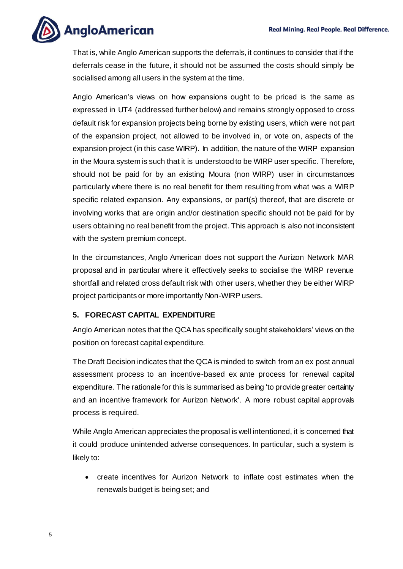

That is, while Anglo American supports the deferrals, it continues to consider that if the deferrals cease in the future, it should not be assumed the costs should simply be socialised among all users in the system at the time.

Anglo American's views on how expansions ought to be priced is the same as expressed in UT4 (addressed further below) and remains strongly opposed to cross default risk for expansion projects being borne by existing users, which were not part of the expansion project, not allowed to be involved in, or vote on, aspects of the expansion project (in this case WIRP). In addition, the nature of the WIRP expansion in the Moura system is such that it is understood to be WIRP user specific. Therefore, should not be paid for by an existing Moura (non WIRP) user in circumstances particularly where there is no real benefit for them resulting from what was a WIRP specific related expansion. Any expansions, or part(s) thereof, that are discrete or involving works that are origin and/or destination specific should not be paid for by users obtaining no real benefit from the project. This approach is also not inconsistent with the system premium concept.

In the circumstances, Anglo American does not support the Aurizon Network MAR proposal and in particular where it effectively seeks to socialise the WIRP revenue shortfall and related cross default risk with other users, whether they be either WIRP project participants or more importantly Non-WIRP users.

#### <span id="page-4-0"></span>**5. FORECAST CAPITAL EXPENDITURE**

Anglo American notes that the QCA has specifically sought stakeholders' views on the position on forecast capital expenditure.

The Draft Decision indicates that the QCA is minded to switch from an ex post annual assessment process to an incentive-based ex ante process for renewal capital expenditure. The rationale for this is summarised as being 'to provide greater certainty and an incentive framework for Aurizon Network'. A more robust capital approvals process is required.

While Anglo American appreciates the proposal is well intentioned, it is concerned that it could produce unintended adverse consequences. In particular, such a system is likely to:

• create incentives for Aurizon Network to inflate cost estimates when the renewals budget is being set; and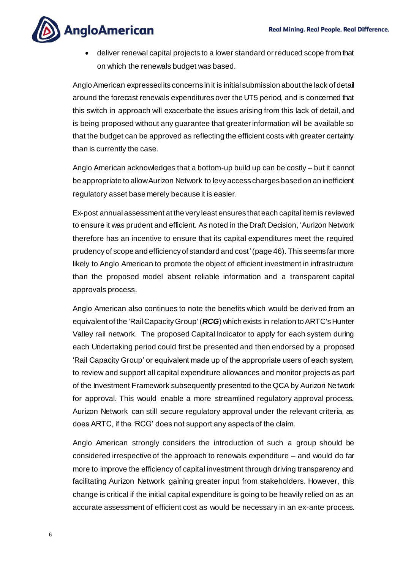

• deliver renewal capital projects to a lower standard or reduced scope from that on which the renewals budget was based.

Anglo American expressed its concerns in it is initial submission about the lack of detail around the forecast renewals expenditures over the UT5 period, and is concerned that this switch in approach will exacerbate the issues arising from this lack of detail, and is being proposed without any guarantee that greater information will be available so that the budget can be approved as reflecting the efficient costs with greater certainty than is currently the case.

Anglo American acknowledges that a bottom-up build up can be costly – but it cannot be appropriate to allow Aurizon Network to levy access charges based on an inefficient regulatory asset base merely because it is easier.

Ex-post annual assessment at the very least ensures that each capital itemis reviewed to ensure it was prudent and efficient. As noted in the Draft Decision, 'Aurizon Network therefore has an incentive to ensure that its capital expenditures meet the required prudency of scope and efficiency of standard and cost'(page 46). This seems far more likely to Anglo American to promote the object of efficient investment in infrastructure than the proposed model absent reliable information and a transparent capital approvals process.

Anglo American also continues to note the benefits which would be derived from an equivalent of the 'Rail Capacity Group' (*RCG*) which exists in relation to ARTC's Hunter Valley rail network. The proposed Capital Indicator to apply for each system during each Undertaking period could first be presented and then endorsed by a proposed 'Rail Capacity Group' or equivalent made up of the appropriate users of each system, to review and support all capital expenditure allowances and monitor projects as part of the Investment Framework subsequently presented to the QCA by Aurizon Network for approval. This would enable a more streamlined regulatory approval process. Aurizon Network can still secure regulatory approval under the relevant criteria, as does ARTC, if the 'RCG' does not support any aspects of the claim.

Anglo American strongly considers the introduction of such a group should be considered irrespective of the approach to renewals expenditure – and would do far more to improve the efficiency of capital investment through driving transparency and facilitating Aurizon Network gaining greater input from stakeholders. However, this change is critical if the initial capital expenditure is going to be heavily relied on as an accurate assessment of efficient cost as would be necessary in an ex-ante process.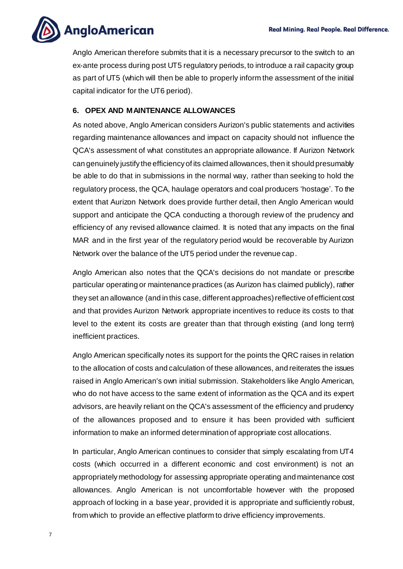

Anglo American therefore submits that it is a necessary precursor to the switch to an ex-ante process during post UT5 regulatory periods, to introduce a rail capacity group as part of UT5 (which will then be able to properly inform the assessment of the initial capital indicator for the UT6 period).

#### <span id="page-6-0"></span>**6. OPEX AND MAINTENANCE ALLOWANCES**

As noted above, Anglo American considers Aurizon's public statements and activities regarding maintenance allowances and impact on capacity should not influence the QCA's assessment of what constitutes an appropriate allowance. If Aurizon Network can genuinely justify the efficiency of its claimed allowances, then it should presumably be able to do that in submissions in the normal way, rather than seeking to hold the regulatory process, the QCA, haulage operators and coal producers 'hostage'. To the extent that Aurizon Network does provide further detail, then Anglo American would support and anticipate the QCA conducting a thorough review of the prudency and efficiency of any revised allowance claimed. It is noted that any impacts on the final MAR and in the first year of the regulatory period would be recoverable by Aurizon Network over the balance of the UT5 period under the revenue cap.

Anglo American also notes that the QCA's decisions do not mandate or prescribe particular operating or maintenance practices (as Aurizon has claimed publicly), rather they set an allowance (and in this case, different approaches) reflective of efficient cost and that provides Aurizon Network appropriate incentives to reduce its costs to that level to the extent its costs are greater than that through existing (and long term) inefficient practices.

Anglo American specifically notes its support for the points the QRC raises in relation to the allocation of costs and calculation of these allowances, and reiterates the issues raised in Anglo American's own initial submission. Stakeholders like Anglo American, who do not have access to the same extent of information as the QCA and its expert advisors, are heavily reliant on the QCA's assessment of the efficiency and prudency of the allowances proposed and to ensure it has been provided with sufficient information to make an informed determination of appropriate cost allocations.

In particular, Anglo American continues to consider that simply escalating from UT4 costs (which occurred in a different economic and cost environment) is not an appropriately methodology for assessing appropriate operating and maintenance cost allowances. Anglo American is not uncomfortable however with the proposed approach of locking in a base year, provided it is appropriate and sufficiently robust, from which to provide an effective platform to drive efficiency improvements.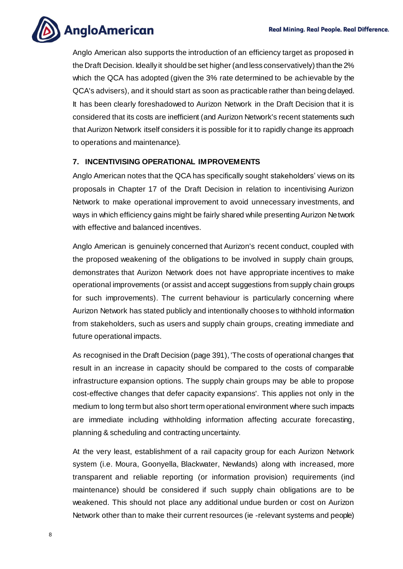

Anglo American also supports the introduction of an efficiency target as proposed in the Draft Decision. Ideally it should be set higher (and less conservatively) than the 2% which the QCA has adopted (given the 3% rate determined to be achievable by the QCA's advisers), and it should start as soon as practicable rather than being delayed. It has been clearly foreshadowed to Aurizon Network in the Draft Decision that it is considered that its costs are inefficient (and Aurizon Network's recent statements such that Aurizon Network itself considers it is possible for it to rapidly change its approach to operations and maintenance).

#### <span id="page-7-0"></span>**7. INCENTIVISING OPERATIONAL IMPROVEMENTS**

Anglo American notes that the QCA has specifically sought stakeholders' views on its proposals in Chapter 17 of the Draft Decision in relation to incentivising Aurizon Network to make operational improvement to avoid unnecessary investments, and ways in which efficiency gains might be fairly shared while presenting Aurizon Network with effective and balanced incentives.

Anglo American is genuinely concerned that Aurizon's recent conduct, coupled with the proposed weakening of the obligations to be involved in supply chain groups, demonstrates that Aurizon Network does not have appropriate incentives to make operational improvements (or assist and accept suggestions from supply chain groups for such improvements). The current behaviour is particularly concerning where Aurizon Network has stated publicly and intentionally chooses to withhold information from stakeholders, such as users and supply chain groups, creating immediate and future operational impacts.

As recognised in the Draft Decision (page 391), 'The costs of operational changes that result in an increase in capacity should be compared to the costs of comparable infrastructure expansion options. The supply chain groups may be able to propose cost-effective changes that defer capacity expansions'. This applies not only in the medium to long term but also short term operational environment where such impacts are immediate including withholding information affecting accurate forecasting, planning & scheduling and contracting uncertainty.

At the very least, establishment of a rail capacity group for each Aurizon Network system (i.e. Moura, Goonyella, Blackwater, Newlands) along with increased, more transparent and reliable reporting (or information provision) requirements (incl maintenance) should be considered if such supply chain obligations are to be weakened. This should not place any additional undue burden or cost on Aurizon Network other than to make their current resources (ie -relevant systems and people)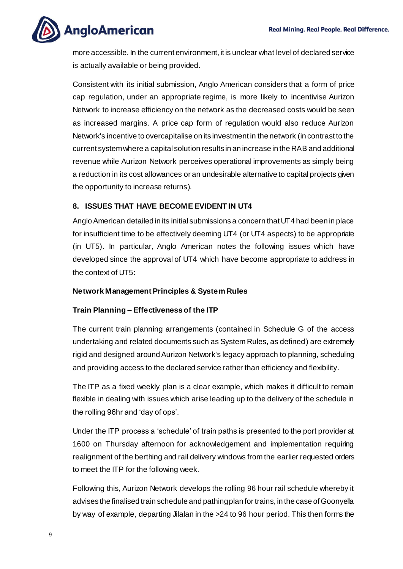**AngloAmerican** 

more accessible. In the current environment, it is unclear what level of declared service is actually available or being provided.

Consistent with its initial submission, Anglo American considers that a form of price cap regulation, under an appropriate regime, is more likely to incentivise Aurizon Network to increase efficiency on the network as the decreased costs would be seen as increased margins. A price cap form of regulation would also reduce Aurizon Network's incentive to overcapitalise on its investment in the network (in contrast to the current system where a capital solution results in an increase in the RAB and additional revenue while Aurizon Network perceives operational improvements as simply being a reduction in its cost allowances or an undesirable alternative to capital projects given the opportunity to increase returns).

#### <span id="page-8-0"></span>**8. ISSUES THAT HAVE BECOME EVIDENT IN UT4**

Anglo American detailed in its initial submissions a concern that UT4 had been in place for insufficient time to be effectively deeming UT4 (or UT4 aspects) to be appropriate (in UT5). In particular, Anglo American notes the following issues which have developed since the approval of UT4 which have become appropriate to address in the context of UT5:

#### **Network Management Principles & System Rules**

#### **Train Planning – Effectiveness of the ITP**

The current train planning arrangements (contained in Schedule G of the access undertaking and related documents such as System Rules, as defined) are extremely rigid and designed around Aurizon Network's legacy approach to planning, scheduling and providing access to the declared service rather than efficiency and flexibility.

The ITP as a fixed weekly plan is a clear example, which makes it difficult to remain flexible in dealing with issues which arise leading up to the delivery of the schedule in the rolling 96hr and 'day of ops'.

Under the ITP process a 'schedule' of train paths is presented to the port provider at 1600 on Thursday afternoon for acknowledgement and implementation requiring realignment of the berthing and rail delivery windows from the earlier requested orders to meet the ITP for the following week.

Following this, Aurizon Network develops the rolling 96 hour rail schedule whereby it advises the finalised train schedule and pathing plan for trains, in the case of Goonyella by way of example, departing Jilalan in the >24 to 96 hour period. This then forms the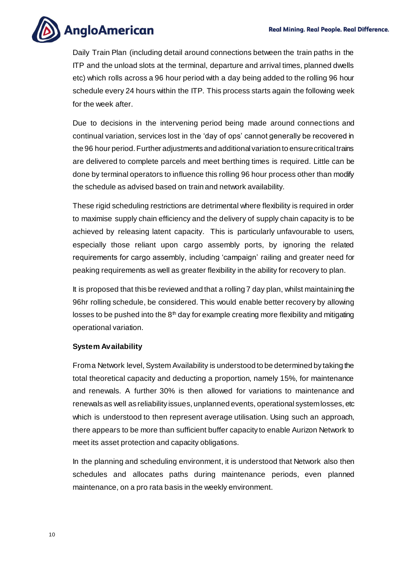

Daily Train Plan (including detail around connections between the train paths in the ITP and the unload slots at the terminal, departure and arrival times, planned dwells etc) which rolls across a 96 hour period with a day being added to the rolling 96 hour schedule every 24 hours within the ITP. This process starts again the following week for the week after.

Due to decisions in the intervening period being made around connections and continual variation, services lost in the 'day of ops' cannot generally be recovered in the 96 hour period. Further adjustments and additional variation to ensure critical trains are delivered to complete parcels and meet berthing times is required. Little can be done by terminal operators to influence this rolling 96 hour process other than modify the schedule as advised based on train and network availability.

These rigid scheduling restrictions are detrimental where flexibility is required in order to maximise supply chain efficiency and the delivery of supply chain capacity is to be achieved by releasing latent capacity. This is particularly unfavourable to users, especially those reliant upon cargo assembly ports, by ignoring the related requirements for cargo assembly, including 'campaign' railing and greater need for peaking requirements as well as greater flexibility in the ability for recovery to plan.

It is proposed that this be reviewed and that a rolling 7 day plan, whilst maintaining the 96hr rolling schedule, be considered. This would enable better recovery by allowing losses to be pushed into the  $8<sup>th</sup>$  day for example creating more flexibility and mitigating operational variation.

#### **System Availability**

From a Network level, System Availability is understood to be determined by taking the total theoretical capacity and deducting a proportion, namely 15%, for maintenance and renewals. A further 30% is then allowed for variations to maintenance and renewals as well as reliability issues, unplanned events, operational system losses, etc which is understood to then represent average utilisation. Using such an approach, there appears to be more than sufficient buffer capacity to enable Aurizon Network to meet its asset protection and capacity obligations.

In the planning and scheduling environment, it is understood that Network also then schedules and allocates paths during maintenance periods, even planned maintenance, on a pro rata basis in the weekly environment.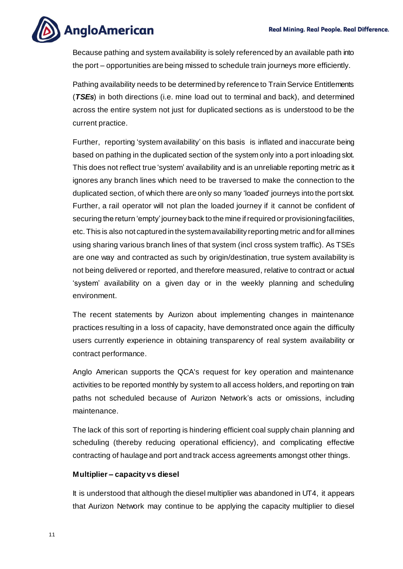

Because pathing and system availability is solely referenced by an available path into the port – opportunities are being missed to schedule train journeys more efficiently.

Pathing availability needs to be determined by reference to Train Service Entitlements (*TSEs*) in both directions (i.e. mine load out to terminal and back), and determined across the entire system not just for duplicated sections as is understood to be the current practice.

Further, reporting 'system availability' on this basis is inflated and inaccurate being based on pathing in the duplicated section of the system only into a port inloading slot. This does not reflect true 'system' availability and is an unreliable reporting metric as it ignores any branch lines which need to be traversed to make the connection to the duplicated section, of which there are only so many 'loaded' journeys into the port slot. Further, a rail operator will not plan the loaded journey if it cannot be confident of securing the return 'empty' journey back to the mine if required or provisioning facilities, etc.This is also not captured in the system availability reporting metric and for all mines using sharing various branch lines of that system (incl cross system traffic). As TSEs are one way and contracted as such by origin/destination, true system availability is not being delivered or reported, and therefore measured, relative to contract or actual 'system' availability on a given day or in the weekly planning and scheduling environment.

The recent statements by Aurizon about implementing changes in maintenance practices resulting in a loss of capacity, have demonstrated once again the difficulty users currently experience in obtaining transparency of real system availability or contract performance.

Anglo American supports the QCA's request for key operation and maintenance activities to be reported monthly by system to all access holders, and reporting on train paths not scheduled because of Aurizon Network's acts or omissions, including maintenance.

The lack of this sort of reporting is hindering efficient coal supply chain planning and scheduling (thereby reducing operational efficiency), and complicating effective contracting of haulage and port and track access agreements amongst other things.

#### **Multiplier – capacity vs diesel**

It is understood that although the diesel multiplier was abandoned in UT4, it appears that Aurizon Network may continue to be applying the capacity multiplier to diesel